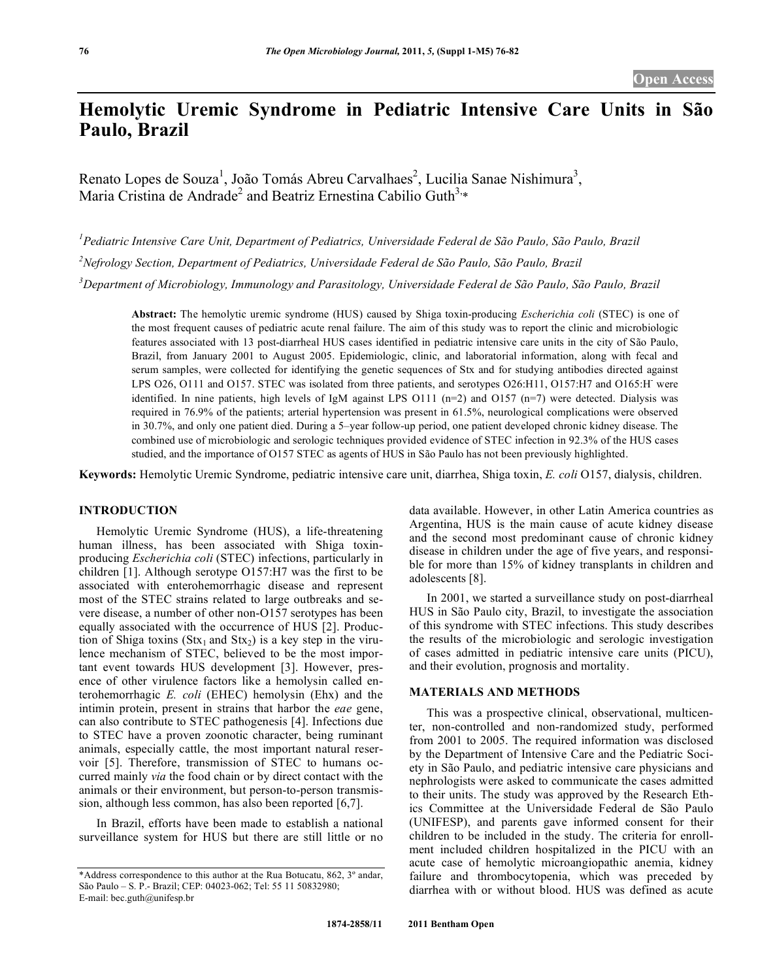# **Hemolytic Uremic Syndrome in Pediatric Intensive Care Units in São Paulo, Brazil**

Renato Lopes de Souza<sup>1</sup>, João Tomás Abreu Carvalhaes<sup>2</sup>, Lucilia Sanae Nishimura<sup>3</sup>, Maria Cristina de Andrade<sup>2</sup> and Beatriz Ernestina Cabilio Guth<sup>3,\*</sup>

<sup>1</sup> Pediatric Intensive Care Unit, Department of Pediatrics, Universidade Federal de São Paulo, São Paulo, Brazil

*2 Nefrology Section, Department of Pediatrics, Universidade Federal de São Paulo, São Paulo, Brazil* 

*3 Department of Microbiology, Immunology and Parasitology, Universidade Federal de São Paulo, São Paulo, Brazil* 

**Abstract:** The hemolytic uremic syndrome (HUS) caused by Shiga toxin-producing *Escherichia coli* (STEC) is one of the most frequent causes of pediatric acute renal failure. The aim of this study was to report the clinic and microbiologic features associated with 13 post-diarrheal HUS cases identified in pediatric intensive care units in the city of São Paulo, Brazil, from January 2001 to August 2005. Epidemiologic, clinic, and laboratorial information, along with fecal and serum samples, were collected for identifying the genetic sequences of Stx and for studying antibodies directed against LPS O26, O111 and O157. STEC was isolated from three patients, and serotypes O26:H11, O157:H7 and O165:H<sup>-</sup> were identified. In nine patients, high levels of IgM against LPS O111 ( $n=2$ ) and O157 ( $n=7$ ) were detected. Dialysis was required in 76.9% of the patients; arterial hypertension was present in 61.5%, neurological complications were observed in 30.7%, and only one patient died. During a 5–year follow-up period, one patient developed chronic kidney disease. The combined use of microbiologic and serologic techniques provided evidence of STEC infection in 92.3% of the HUS cases studied, and the importance of O157 STEC as agents of HUS in São Paulo has not been previously highlighted.

**Keywords:** Hemolytic Uremic Syndrome, pediatric intensive care unit, diarrhea, Shiga toxin, *E. coli* O157, dialysis, children.

# **INTRODUCTION**

 Hemolytic Uremic Syndrome (HUS), a life-threatening human illness, has been associated with Shiga toxinproducing *Escherichia coli* (STEC) infections, particularly in children [1]. Although serotype O157:H7 was the first to be associated with enterohemorrhagic disease and represent most of the STEC strains related to large outbreaks and severe disease, a number of other non-O157 serotypes has been equally associated with the occurrence of HUS [2]. Production of Shiga toxins (Stx<sub>1</sub> and Stx<sub>2</sub>) is a key step in the virulence mechanism of STEC, believed to be the most important event towards HUS development [3]. However, presence of other virulence factors like a hemolysin called enterohemorrhagic *E. coli* (EHEC) hemolysin (Ehx) and the intimin protein, present in strains that harbor the *eae* gene, can also contribute to STEC pathogenesis [4]. Infections due to STEC have a proven zoonotic character, being ruminant animals, especially cattle, the most important natural reservoir [5]. Therefore, transmission of STEC to humans occurred mainly *via* the food chain or by direct contact with the animals or their environment, but person-to-person transmission, although less common, has also been reported [6,7].

 In Brazil, efforts have been made to establish a national surveillance system for HUS but there are still little or no data available. However, in other Latin America countries as Argentina, HUS is the main cause of acute kidney disease and the second most predominant cause of chronic kidney disease in children under the age of five years, and responsible for more than 15% of kidney transplants in children and adolescents [8].

 In 2001, we started a surveillance study on post-diarrheal HUS in São Paulo city, Brazil, to investigate the association of this syndrome with STEC infections. This study describes the results of the microbiologic and serologic investigation of cases admitted in pediatric intensive care units (PICU), and their evolution, prognosis and mortality.

## **MATERIALS AND METHODS**

 This was a prospective clinical, observational, multicenter, non-controlled and non-randomized study, performed from 2001 to 2005. The required information was disclosed by the Department of Intensive Care and the Pediatric Society in São Paulo, and pediatric intensive care physicians and nephrologists were asked to communicate the cases admitted to their units. The study was approved by the Research Ethics Committee at the Universidade Federal de São Paulo (UNIFESP), and parents gave informed consent for their children to be included in the study. The criteria for enrollment included children hospitalized in the PICU with an acute case of hemolytic microangiopathic anemia, kidney failure and thrombocytopenia, which was preceded by diarrhea with or without blood. HUS was defined as acute

<sup>\*</sup>Address correspondence to this author at the Rua Botucatu, 862, 3º andar, São Paulo – S. P.- Brazil; CEP: 04023-062; Tel: 55 11 50832980; E-mail: bec.guth@unifesp.br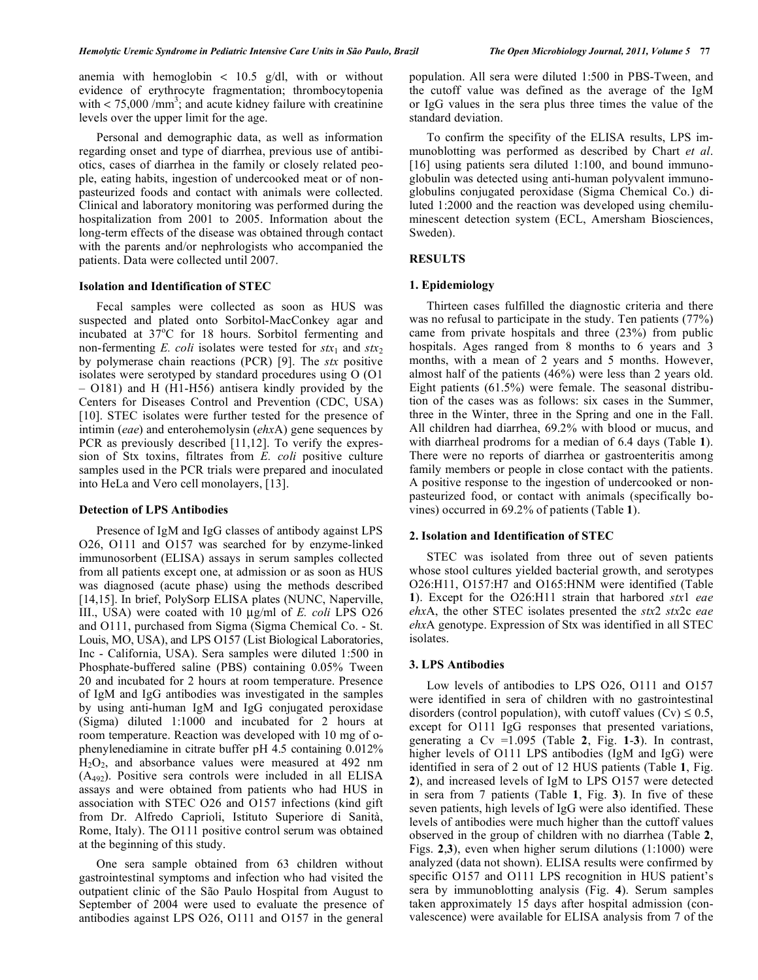anemia with hemoglobin < 10.5 g/dl, with or without evidence of erythrocyte fragmentation; thrombocytopenia with  $<$  75,000 /mm<sup>3</sup>; and acute kidney failure with creatinine levels over the upper limit for the age.

 Personal and demographic data, as well as information regarding onset and type of diarrhea, previous use of antibiotics, cases of diarrhea in the family or closely related people, eating habits, ingestion of undercooked meat or of nonpasteurized foods and contact with animals were collected. Clinical and laboratory monitoring was performed during the hospitalization from 2001 to 2005. Information about the long-term effects of the disease was obtained through contact with the parents and/or nephrologists who accompanied the patients. Data were collected until 2007.

#### **Isolation and Identification of STEC**

 Fecal samples were collected as soon as HUS was suspected and plated onto Sorbitol-MacConkey agar and incubated at  $37^{\circ}$ C for 18 hours. Sorbitol fermenting and non-fermenting *E. coli* isolates were tested for  $stx_1$  and  $stx_2$ by polymerase chain reactions (PCR) [9]. The *stx* positive isolates were serotyped by standard procedures using O (O1 – O181) and H (H1-H56) antisera kindly provided by the Centers for Diseases Control and Prevention (CDC, USA) [10]. STEC isolates were further tested for the presence of intimin (*eae*) and enterohemolysin (*ehx*A) gene sequences by PCR as previously described [11,12]. To verify the expression of Stx toxins, filtrates from *E. coli* positive culture samples used in the PCR trials were prepared and inoculated into HeLa and Vero cell monolayers, [13].

#### **Detection of LPS Antibodies**

 Presence of IgM and IgG classes of antibody against LPS O26, O111 and O157 was searched for by enzyme-linked immunosorbent (ELISA) assays in serum samples collected from all patients except one, at admission or as soon as HUS was diagnosed (acute phase) using the methods described [14,15]. In brief, PolySorp ELISA plates (NUNC, Naperville, III., USA) were coated with 10 μg/ml of *E. coli* LPS O26 and O111, purchased from Sigma (Sigma Chemical Co. - St. Louis, MO, USA), and LPS O157 (List Biological Laboratories, Inc - California, USA). Sera samples were diluted 1:500 in Phosphate-buffered saline (PBS) containing 0.05% Tween 20 and incubated for 2 hours at room temperature. Presence of IgM and IgG antibodies was investigated in the samples by using anti-human IgM and IgG conjugated peroxidase (Sigma) diluted 1:1000 and incubated for 2 hours at room temperature. Reaction was developed with 10 mg of ophenylenediamine in citrate buffer pH 4.5 containing 0.012% H2O2, and absorbance values were measured at 492 nm (A492). Positive sera controls were included in all ELISA assays and were obtained from patients who had HUS in association with STEC O26 and O157 infections (kind gift from Dr. Alfredo Caprioli, Istituto Superiore di Sanità, Rome, Italy). The O111 positive control serum was obtained at the beginning of this study.

 One sera sample obtained from 63 children without gastrointestinal symptoms and infection who had visited the outpatient clinic of the São Paulo Hospital from August to September of 2004 were used to evaluate the presence of antibodies against LPS O26, O111 and O157 in the general

population. All sera were diluted 1:500 in PBS-Tween, and the cutoff value was defined as the average of the IgM or IgG values in the sera plus three times the value of the standard deviation.

 To confirm the specifity of the ELISA results, LPS immunoblotting was performed as described by Chart *et al*. [16] using patients sera diluted 1:100, and bound immunoglobulin was detected using anti-human polyvalent immunoglobulins conjugated peroxidase (Sigma Chemical Co.) diluted 1:2000 and the reaction was developed using chemiluminescent detection system (ECL, Amersham Biosciences, Sweden).

# **RESULTS**

#### **1. Epidemiology**

 Thirteen cases fulfilled the diagnostic criteria and there was no refusal to participate in the study. Ten patients (77%) came from private hospitals and three (23%) from public hospitals. Ages ranged from 8 months to 6 years and 3 months, with a mean of 2 years and 5 months. However, almost half of the patients (46%) were less than 2 years old. Eight patients (61.5%) were female. The seasonal distribution of the cases was as follows: six cases in the Summer, three in the Winter, three in the Spring and one in the Fall. All children had diarrhea, 69.2% with blood or mucus, and with diarrheal prodroms for a median of 6.4 days (Table **1**). There were no reports of diarrhea or gastroenteritis among family members or people in close contact with the patients. A positive response to the ingestion of undercooked or nonpasteurized food, or contact with animals (specifically bovines) occurred in 69.2% of patients (Table **1**).

## **2. Isolation and Identification of STEC**

 STEC was isolated from three out of seven patients whose stool cultures yielded bacterial growth, and serotypes O26:H11, O157:H7 and O165:HNM were identified (Table **1**). Except for the O26:H11 strain that harbored *stx*1 *eae ehx*A, the other STEC isolates presented the *stx*2 *stx*2c *eae ehx*A genotype. Expression of Stx was identified in all STEC isolates.

## **3. LPS Antibodies**

 Low levels of antibodies to LPS O26, O111 and O157 were identified in sera of children with no gastrointestinal disorders (control population), with cutoff values (Cv)  $\leq 0.5$ , except for O111 IgG responses that presented variations, generating a Cv =1.095 (Table **2**, Fig. **1**-**3**). In contrast, higher levels of O111 LPS antibodies (IgM and IgG) were identified in sera of 2 out of 12 HUS patients (Table **1**, Fig. **2**), and increased levels of IgM to LPS O157 were detected in sera from 7 patients (Table **1**, Fig. **3**). In five of these seven patients, high levels of IgG were also identified. These levels of antibodies were much higher than the cuttoff values observed in the group of children with no diarrhea (Table **2**, Figs. **2**,**3**), even when higher serum dilutions (1:1000) were analyzed (data not shown). ELISA results were confirmed by specific O157 and O111 LPS recognition in HUS patient's sera by immunoblotting analysis (Fig. **4**). Serum samples taken approximately 15 days after hospital admission (convalescence) were available for ELISA analysis from 7 of the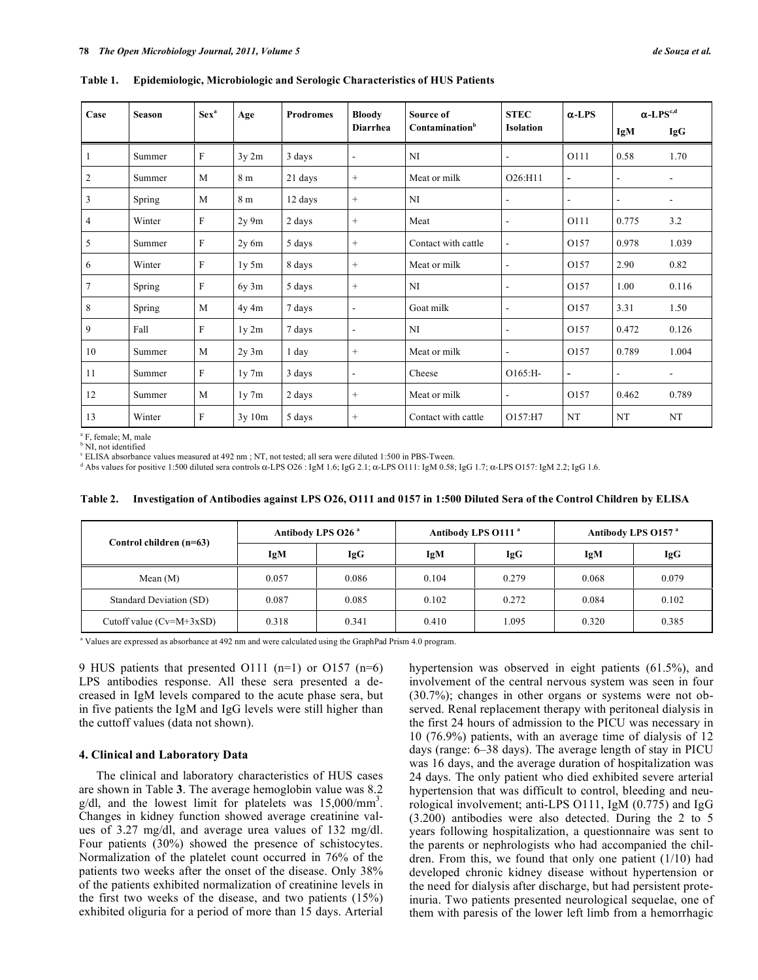| Case           | <b>Season</b> | Sex <sup>a</sup> | Age            | <b>Prodromes</b> | <b>Bloody</b><br><b>Diarrhea</b> | Source of<br>Contamination <sup>b</sup> | <b>STEC</b><br><b>Isolation</b> | $\alpha$ -LPS            | $\alpha$ -LPS <sup>c,d</sup> |       |
|----------------|---------------|------------------|----------------|------------------|----------------------------------|-----------------------------------------|---------------------------------|--------------------------|------------------------------|-------|
|                |               |                  |                |                  |                                  |                                         |                                 |                          | IgM                          | IgG   |
|                | Summer        | F                | 3y 2m          | 3 days           | $\blacksquare$                   | NI                                      | ۰                               | O111                     | 0.58                         | 1.70  |
| $\overline{2}$ | Summer        | M                | 8 <sub>m</sub> | 21 days          | $+$                              | Meat or milk                            | O26:H11                         | $\overline{\phantom{a}}$ | $\overline{\phantom{a}}$     |       |
| 3              | Spring        | M                | 8 m            | 12 days          | $\! + \!\!\!\!$                  | NI                                      | ٠                               | $\blacksquare$           | $\blacksquare$               | ۰.    |
| 4              | Winter        | F                | $2y \, 9m$     | 2 days           | $\! + \!\!\!\!$                  | Meat                                    | $\overline{\phantom{a}}$        | O111                     | 0.775                        | 3.2   |
| 5              | Summer        | F                | $2y$ 6m        | 5 days           | $\! + \!\!\!\!$                  | Contact with cattle                     | $\overline{\phantom{a}}$        | O157                     | 0.978                        | 1.039 |
| 6              | Winter        | F                | 1y 5m          | 8 days           | $\! + \!\!\!\!$                  | Meat or milk                            | $\overline{a}$                  | O157                     | 2.90                         | 0.82  |
| $\overline{7}$ | Spring        | F                | $6y$ 3m        | 5 days           | $\! + \!\!\!\!$                  | NI                                      | $\overline{a}$                  | O157                     | 1.00                         | 0.116 |
| $\,$ 8 $\,$    | Spring        | M                | 4y 4m          | 7 days           | $\overline{\phantom{a}}$         | Goat milk                               | $\overline{a}$                  | O157                     | 3.31                         | 1.50  |
| 9              | Fall          | F                | 1y2m           | 7 days           | $\blacksquare$                   | NI                                      | $\blacksquare$                  | O157                     | 0.472                        | 0.126 |
| 10             | Summer        | M                | $2y \, 3m$     | 1 day            | $\! + \!\!\!\!$                  | Meat or milk                            | $\overline{a}$                  | O157                     | 0.789                        | 1.004 |
| 11             | Summer        | F                | $1y$ 7m        | 3 days           | $\blacksquare$                   | Cheese                                  | $O165$ :H-                      | $\blacksquare$           | $\overline{\phantom{a}}$     | ۰.    |
| 12             | Summer        | M                | $1y$ 7m        | 2 days           | $\! + \!\!\!\!$                  | Meat or milk                            | $\overline{\phantom{a}}$        | O157                     | 0.462                        | 0.789 |
| 13             | Winter        | F                | 3y10m          | 5 days           | $^{+}$                           | Contact with cattle                     | O157:H7                         | NT                       | NT                           | NT    |

**Table 1. Epidemiologic, Microbiologic and Serologic Characteristics of HUS Patients** 

a F, female; M, male <sup>b</sup> NI, not identified

<sup>c</sup> ELISA absorbance values measured at 492 nm; NT, not tested; all sera were diluted 1:500 in PBS-Tween.

 $^d$  Abs values for positive 1:500 diluted sera controls  $\alpha$ -LPS O26 : IgM 1.6; IgG 2.1;  $\alpha$ -LPS O111: IgM 0.58; IgG 1.7;  $\alpha$ -LPS O157: IgM 2.2; IgG 1.6.

| Table 2. Investigation of Antibodies against LPS O26, 0111 and 0157 in 1:500 Diluted Sera of the Control Children by ELISA |  |
|----------------------------------------------------------------------------------------------------------------------------|--|
|                                                                                                                            |  |

|                            |       | Antibody LPS 026 <sup>a</sup> |       | Antibody LPS 0111 <sup>a</sup> | Antibody LPS 0157 <sup>a</sup> |       |  |
|----------------------------|-------|-------------------------------|-------|--------------------------------|--------------------------------|-------|--|
| Control children (n=63)    | IgM   | IgG                           | IgM   | <b>IgG</b>                     | IgM                            | IgG   |  |
| Mean $(M)$                 | 0.057 | 0.086                         | 0.104 | 0.279                          | 0.068                          | 0.079 |  |
| Standard Deviation (SD)    | 0.087 | 0.085                         | 0.102 | 0.272                          | 0.084                          | 0.102 |  |
| Cutoff value $(Cv=M+3xSD)$ | 0.318 | 0.341                         | 0.410 | .095                           | 0.320                          | 0.385 |  |

a Values are expressed as absorbance at 492 nm and were calculated using the GraphPad Prism 4.0 program.

9 HUS patients that presented O111 (n=1) or O157 (n=6) LPS antibodies response. All these sera presented a decreased in IgM levels compared to the acute phase sera, but in five patients the IgM and IgG levels were still higher than the cuttoff values (data not shown).

## **4. Clinical and Laboratory Data**

 The clinical and laboratory characteristics of HUS cases are shown in Table **3**. The average hemoglobin value was 8.2  $g/dl$ , and the lowest limit for platelets was  $15,000/\text{mm}^3$ . Changes in kidney function showed average creatinine values of 3.27 mg/dl, and average urea values of 132 mg/dl. Four patients (30%) showed the presence of schistocytes. Normalization of the platelet count occurred in 76% of the patients two weeks after the onset of the disease. Only 38% of the patients exhibited normalization of creatinine levels in the first two weeks of the disease, and two patients (15%) exhibited oliguria for a period of more than 15 days. Arterial

hypertension was observed in eight patients (61.5%), and involvement of the central nervous system was seen in four (30.7%); changes in other organs or systems were not observed. Renal replacement therapy with peritoneal dialysis in the first 24 hours of admission to the PICU was necessary in 10 (76.9%) patients, with an average time of dialysis of 12 days (range: 6–38 days). The average length of stay in PICU was 16 days, and the average duration of hospitalization was 24 days. The only patient who died exhibited severe arterial hypertension that was difficult to control, bleeding and neurological involvement; anti-LPS O111, IgM (0.775) and IgG (3.200) antibodies were also detected. During the 2 to 5 years following hospitalization, a questionnaire was sent to the parents or nephrologists who had accompanied the children. From this, we found that only one patient (1/10) had developed chronic kidney disease without hypertension or the need for dialysis after discharge, but had persistent proteinuria. Two patients presented neurological sequelae, one of them with paresis of the lower left limb from a hemorrhagic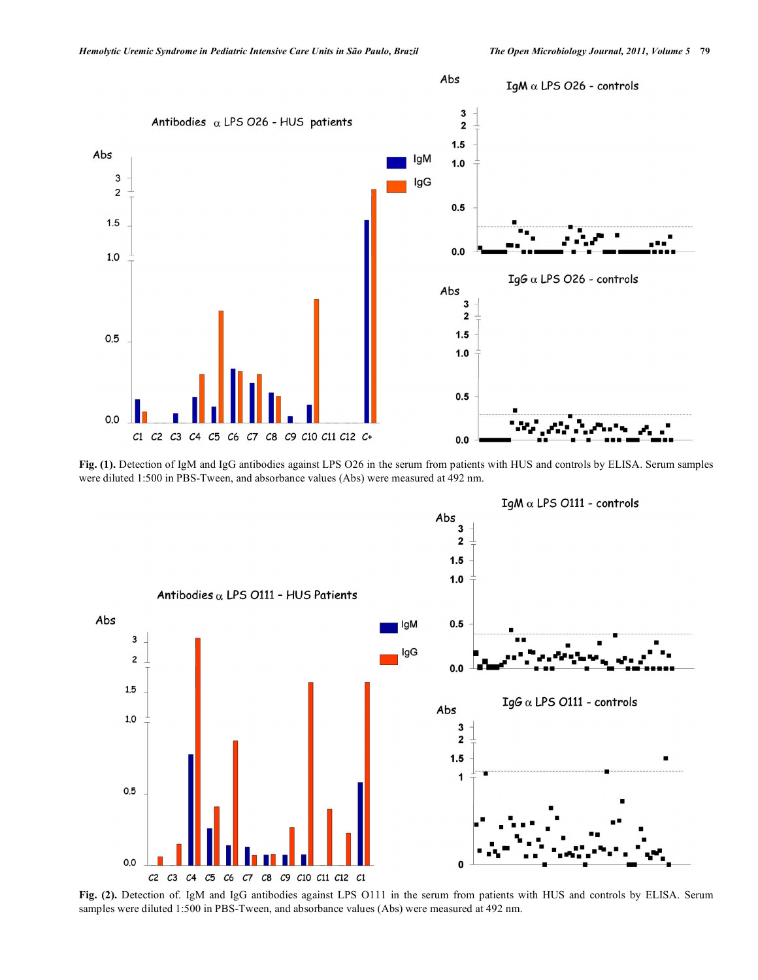

**Fig. (1).** Detection of IgM and IgG antibodies against LPS O26 in the serum from patients with HUS and controls by ELISA. Serum samples were diluted 1:500 in PBS-Tween, and absorbance values (Abs) were measured at 492 nm.



**Fig. (2).** Detection of. IgM and IgG antibodies against LPS O111 in the serum from patients with HUS and controls by ELISA. Serum samples were diluted 1:500 in PBS-Tween, and absorbance values (Abs) were measured at 492 nm.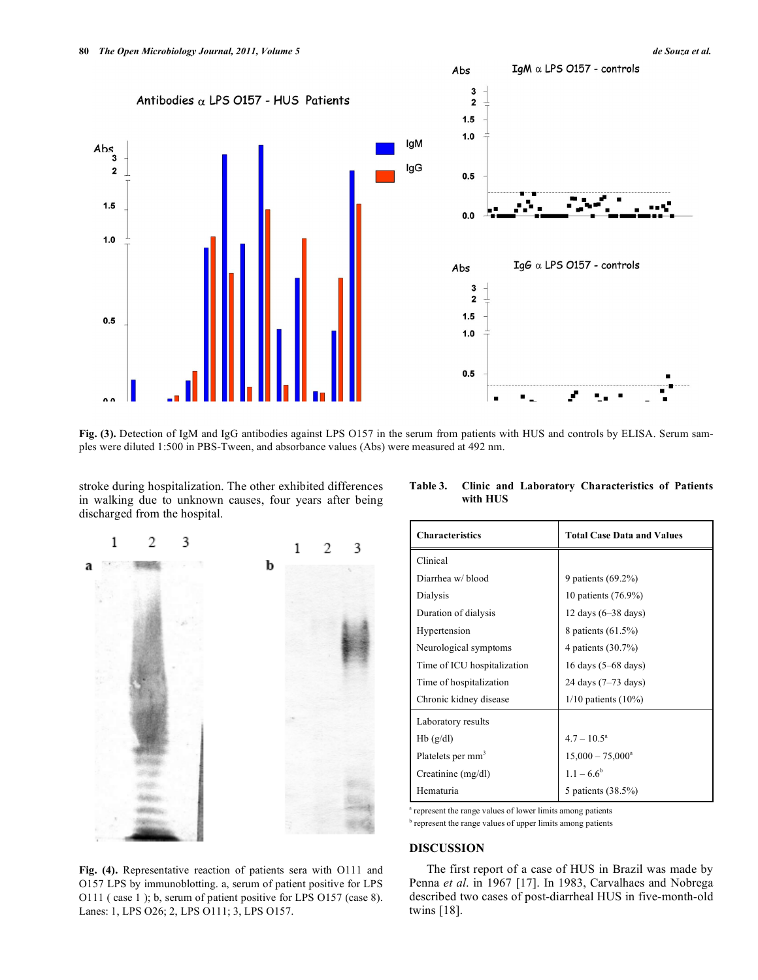**Fig. (3).** Detection of IgM and IgG antibodies against LPS O157 in the serum from patients with HUS and controls by ELISA. Serum samples were diluted 1:500 in PBS-Tween, and absorbance values (Abs) were measured at 492 nm.

stroke during hospitalization. The other exhibited differences in walking due to unknown causes, four years after being discharged from the hospital.



**Table 3. Clinic and Laboratory Characteristics of Patients with HUS** 

| <b>Characteristics</b>        | <b>Total Case Data and Values</b> |  |  |  |
|-------------------------------|-----------------------------------|--|--|--|
| Clinical                      |                                   |  |  |  |
| Diarrhea w/ blood             | 9 patients (69.2%)                |  |  |  |
| Dialysis                      | 10 patients (76.9%)               |  |  |  |
| Duration of dialysis          | 12 days $(6-38$ days)             |  |  |  |
| Hypertension                  | 8 patients (61.5%)                |  |  |  |
| Neurological symptoms         | 4 patients (30.7%)                |  |  |  |
| Time of ICU hospitalization   | 16 days (5–68 days)               |  |  |  |
| Time of hospitalization       | 24 days (7–73 days)               |  |  |  |
| Chronic kidney disease        | $1/10$ patients $(10\%)$          |  |  |  |
| Laboratory results            |                                   |  |  |  |
| Hb(g/dl)                      | $4.7 - 10.5^{\circ}$              |  |  |  |
| Platelets per mm <sup>3</sup> | $15,000 - 75,000^a$               |  |  |  |
| Creatinine $(mg/dl)$          | $1.1 - 6.6^b$                     |  |  |  |
| Hematuria                     | 5 patients (38.5%)                |  |  |  |

<sup>a</sup> represent the range values of lower limits among patients

<sup>b</sup> represent the range values of upper limits among patients

#### **DISCUSSION**

 The first report of a case of HUS in Brazil was made by Penna *et al*. in 1967 [17]. In 1983, Carvalhaes and Nobrega described two cases of post-diarrheal HUS in five-month-old twins [18].

**Fig. (4).** Representative reaction of patients sera with O111 and O157 LPS by immunoblotting. a, serum of patient positive for LPS O111 ( case 1 ); b, serum of patient positive for LPS O157 (case 8). Lanes: 1, LPS O26; 2, LPS O111; 3, LPS O157.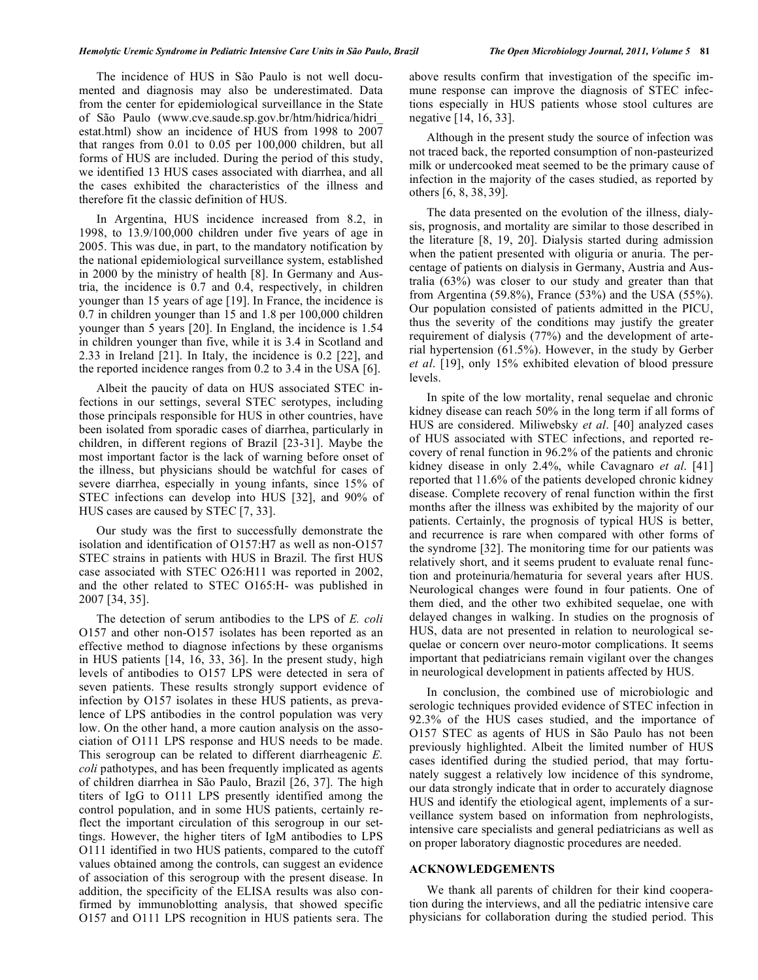The incidence of HUS in São Paulo is not well documented and diagnosis may also be underestimated. Data from the center for epidemiological surveillance in the State of São Paulo (www.cve.saude.sp.gov.br/htm/hidrica/hidri\_ estat.html) show an incidence of HUS from 1998 to 2007 that ranges from 0.01 to 0.05 per 100,000 children, but all forms of HUS are included. During the period of this study, we identified 13 HUS cases associated with diarrhea, and all the cases exhibited the characteristics of the illness and therefore fit the classic definition of HUS.

 In Argentina, HUS incidence increased from 8.2, in 1998, to 13.9/100,000 children under five years of age in 2005. This was due, in part, to the mandatory notification by the national epidemiological surveillance system, established in 2000 by the ministry of health [8]. In Germany and Austria, the incidence is 0.7 and 0.4, respectively, in children younger than 15 years of age [19]. In France, the incidence is 0.7 in children younger than 15 and 1.8 per 100,000 children younger than 5 years [20]. In England, the incidence is 1.54 in children younger than five, while it is 3.4 in Scotland and 2.33 in Ireland [21]. In Italy, the incidence is 0.2 [22], and the reported incidence ranges from 0.2 to 3.4 in the USA [6].

 Albeit the paucity of data on HUS associated STEC infections in our settings, several STEC serotypes, including those principals responsible for HUS in other countries, have been isolated from sporadic cases of diarrhea, particularly in children, in different regions of Brazil [23-31]. Maybe the most important factor is the lack of warning before onset of the illness, but physicians should be watchful for cases of severe diarrhea, especially in young infants, since 15% of STEC infections can develop into HUS [32], and 90% of HUS cases are caused by STEC [7, 33].

 Our study was the first to successfully demonstrate the isolation and identification of O157:H7 as well as non-O157 STEC strains in patients with HUS in Brazil. The first HUS case associated with STEC O26:H11 was reported in 2002, and the other related to STEC O165:H- was published in 2007 [34, 35].

 The detection of serum antibodies to the LPS of *E. coli* O157 and other non-O157 isolates has been reported as an effective method to diagnose infections by these organisms in HUS patients [14, 16, 33, 36]. In the present study, high levels of antibodies to O157 LPS were detected in sera of seven patients. These results strongly support evidence of infection by O157 isolates in these HUS patients, as prevalence of LPS antibodies in the control population was very low. On the other hand, a more caution analysis on the association of O111 LPS response and HUS needs to be made. This serogroup can be related to different diarrheagenic *E. coli* pathotypes, and has been frequently implicated as agents of children diarrhea in São Paulo, Brazil [26, 37]. The high titers of IgG to O111 LPS presently identified among the control population, and in some HUS patients, certainly reflect the important circulation of this serogroup in our settings. However, the higher titers of IgM antibodies to LPS O111 identified in two HUS patients, compared to the cutoff values obtained among the controls, can suggest an evidence of association of this serogroup with the present disease. In addition, the specificity of the ELISA results was also confirmed by immunoblotting analysis, that showed specific O157 and O111 LPS recognition in HUS patients sera. The

above results confirm that investigation of the specific immune response can improve the diagnosis of STEC infections especially in HUS patients whose stool cultures are negative [14, 16, 33].

 Although in the present study the source of infection was not traced back, the reported consumption of non-pasteurized milk or undercooked meat seemed to be the primary cause of infection in the majority of the cases studied, as reported by others [6, 8, 38, 39].

 The data presented on the evolution of the illness, dialysis, prognosis, and mortality are similar to those described in the literature [8, 19, 20]. Dialysis started during admission when the patient presented with oliguria or anuria. The percentage of patients on dialysis in Germany, Austria and Australia (63%) was closer to our study and greater than that from Argentina (59.8%), France (53%) and the USA (55%). Our population consisted of patients admitted in the PICU, thus the severity of the conditions may justify the greater requirement of dialysis (77%) and the development of arterial hypertension (61.5%). However, in the study by Gerber *et al*. [19], only 15% exhibited elevation of blood pressure levels.

 In spite of the low mortality, renal sequelae and chronic kidney disease can reach 50% in the long term if all forms of HUS are considered. Miliwebsky *et al*. [40] analyzed cases of HUS associated with STEC infections, and reported recovery of renal function in 96.2% of the patients and chronic kidney disease in only 2.4%, while Cavagnaro *et al*. [41] reported that 11.6% of the patients developed chronic kidney disease. Complete recovery of renal function within the first months after the illness was exhibited by the majority of our patients. Certainly, the prognosis of typical HUS is better, and recurrence is rare when compared with other forms of the syndrome [32]. The monitoring time for our patients was relatively short, and it seems prudent to evaluate renal function and proteinuria/hematuria for several years after HUS. Neurological changes were found in four patients. One of them died, and the other two exhibited sequelae, one with delayed changes in walking. In studies on the prognosis of HUS, data are not presented in relation to neurological sequelae or concern over neuro-motor complications. It seems important that pediatricians remain vigilant over the changes in neurological development in patients affected by HUS.

 In conclusion, the combined use of microbiologic and serologic techniques provided evidence of STEC infection in 92.3% of the HUS cases studied, and the importance of O157 STEC as agents of HUS in São Paulo has not been previously highlighted. Albeit the limited number of HUS cases identified during the studied period, that may fortunately suggest a relatively low incidence of this syndrome, our data strongly indicate that in order to accurately diagnose HUS and identify the etiological agent, implements of a surveillance system based on information from nephrologists, intensive care specialists and general pediatricians as well as on proper laboratory diagnostic procedures are needed.

#### **ACKNOWLEDGEMENTS**

 We thank all parents of children for their kind cooperation during the interviews, and all the pediatric intensive care physicians for collaboration during the studied period. This